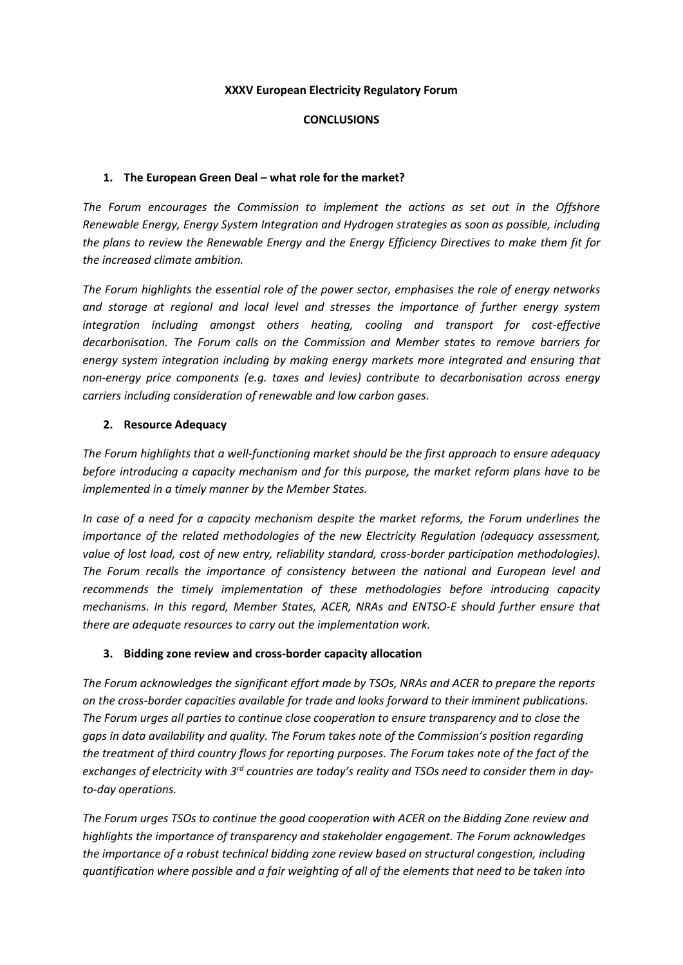#### **XXXV European Electricity Regulatory Forum**

### **CONCLUSIONS**

### 1. The European Green Deal – what role for the market?

*The Forum encourages the Commission to implement the actions as set out in the Offshore Renewable Energy, Energy System Integration and Hydrogen strategies as soon as possible, including the plans to review the Renewable Energy and the Energy Efficiency Directives to make them fit for the increased climate ambition.*

*The Forum highlights the essential role of the power sector, emphasises the role of energy networks and storage at regional and local level and stresses the importance of further energy system integration including amongst others heating, cooling and transport for cost-effective decarbonisation. The Forum calls on the Commission and Member states to remove barriers for energy system integration including by making energy markets more integrated and ensuring that non-energy price components (e.g. taxes and levies) contribute to decarbonisation across energy carriers including consideration of renewable and low carbon gases.*

#### **2. Resource Adequacy**

*The Forum highlights that a well-functioning market should be the first approach to ensure adequacy before introducing a capacity mechanism and for this purpose, the market reform plans have to be implemented in a timely manner by the Member States.*

*In case of a need for a capacity mechanism despite the market reforms, the Forum underlines the importance of the related methodologies of the new Electricity Regulation (adequacy assessment, value of lost load, cost of new entry, reliability standard, cross-border participation methodologies). The Forum recalls the importance of consistency between the national and European level and recommends the timely implementation of these methodologies before introducing capacity mechanisms. In this regard, Member States, ACER, NRAs and ENTSO-E should further ensure that there are adequate resources to carry out the implementation work.*

### **3. Bidding zone review and cross-border capacity allocation**

*The Forum acknowledges the significant effort made by TSOs, NRAs and ACER to prepare the reports on the cross-border capacities available for trade and looks forward to their imminent publications. The Forum urges all parties to continue close cooperation to ensure transparency and to close the gaps in data availability and quality. The Forum takes note of the Commission's position regarding the treatment of third country flows for reporting purposes. The Forum takes note of the fact of the exchanges of electricity with 3rd countries are today's reality and TSOs need to consider them in dayto-day operations.*

*The Forum urges TSOs to continue the good cooperation with ACER on the Bidding Zone review and highlights the importance of transparency and stakeholder engagement. The Forum acknowledges the importance of a robust technical bidding zone review based on structural congestion, including quantification where possible and a fair weighting of all of the elements that need to be taken into*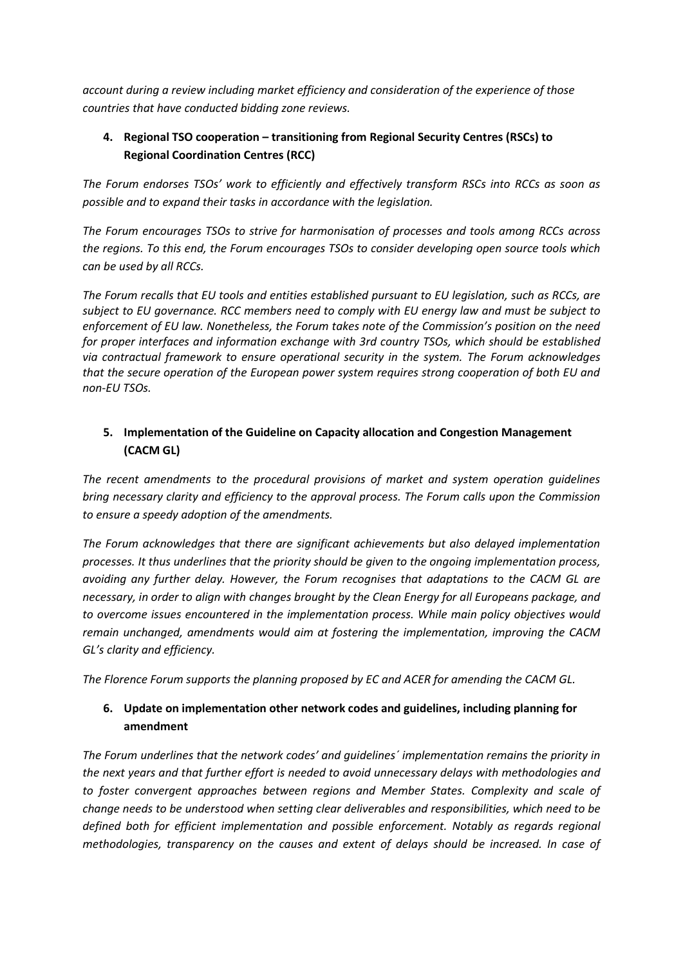*account during a review including market efficiency and consideration of the experience of those countries that have conducted bidding zone reviews.*

## **4. Regional TSO cooperation – transitioning from Regional Security Centres (RSCs) to Regional Coordination Centres (RCC)**

*The Forum endorses TSOs' work to efficiently and effectively transform RSCs into RCCs as soon as possible and to expand their tasks in accordance with the legislation.*

*The Forum encourages TSOs to strive for harmonisation of processes and tools among RCCs across the regions. To this end, the Forum encourages TSOs to consider developing open source tools which can be used by all RCCs.*

*The Forum recalls that EU tools and entities established pursuant to EU legislation, such as RCCs, are subject to EU governance. RCC members need to comply with EU energy law and must be subject to enforcement of EU law. Nonetheless, the Forum takes note of the Commission's position on the need for proper interfaces and information exchange with 3rd country TSOs, which should be established via contractual framework to ensure operational security in the system. The Forum acknowledges that the secure operation of the European power system requires strong cooperation of both EU and non-EU TSOs.*

## **5. Implementation of the Guideline on Capacity allocation and Congestion Management (CACM GL)**

*The recent amendments to the procedural provisions of market and system operation guidelines bring necessary clarity and efficiency to the approval process. The Forum calls upon the Commission to ensure a speedy adoption of the amendments.*

*The Forum acknowledges that there are significant achievements but also delayed implementation processes. It thus underlines that the priority should be given to the ongoing implementation process, avoiding any further delay. However, the Forum recognises that adaptations to the CACM GL are necessary, in order to align with changes brought by the Clean Energy for all Europeans package, and to overcome issues encountered in the implementation process. While main policy objectives would remain unchanged, amendments would aim at fostering the implementation, improving the CACM GL's clarity and efficiency.*

*The Florence Forum supports the planning proposed by EC and ACER for amending the CACM GL.*

# **6. Update on implementation other network codes and guidelines, including planning for amendment**

*The Forum underlines that the network codes' and guidelines´ implementation remains the priority in the next years and that further effort is needed to avoid unnecessary delays with methodologies and to foster convergent approaches between regions and Member States. Complexity and scale of change needs to be understood when setting clear deliverables and responsibilities, which need to be*  defined both for efficient implementation and possible enforcement. Notably as regards regional *methodologies, transparency on the causes and extent of delays should be increased. In case of*